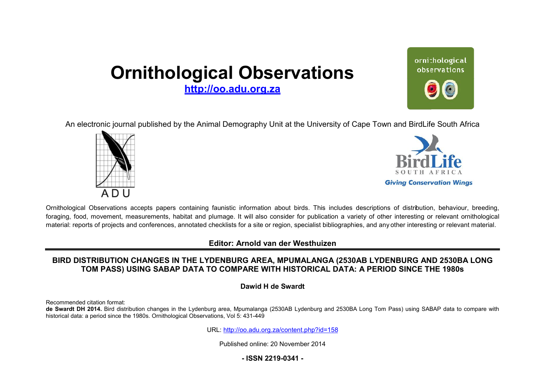# **Ornithological Observations**

**<http://oo.adu.org.za>**

ornithological observations

An electronic journal published by the Animal Demography Unit at the University of Cape Town and BirdLife South Africa





Ornithological Observations accepts papers containing faunistic information about birds. This includes descriptions of distribution, behaviour, breeding, foraging, food, movement, measurements, habitat and plumage. It will also consider for publication a variety of other interesting or relevant ornithological material: reports of projects and conferences, annotated checklists for a site or region, specialist bibliographies, and any other interesting or relevant material.

## **Editor: Arnold van der Westhuizen**

## **BIRD DISTRIBUTION CHANGES IN THE LYDENBU itor:ANGES LYDENBURG AREA, MPUMALANGA (2530AB LYDENBURG AN AND 2530BA LONG**  <code>TOM</code> PASS) USING SABAP DATA TO COMPARE WITH HISTORICAL DATA: A PERIOD SINCE THE 1980s

**Dawid H de Swardt** 

Recommended citation format:

de Swardt DH 2014. Bird distribution changes in the Lydenburg area, Mpumalanga (2530AB Lydenburg and 2530BA Long Tom Pass) using SABAP data to compare with historical data: a period since the 1980s. Ornithological Observations, Vol 5: 431-449

URL: <http://oo.adu.org.za/content.php?id=158>

Published online: 20 November 2014

## **- ISSN 2219-0341 -**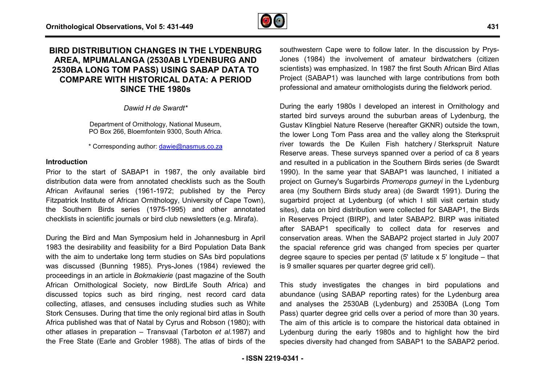

## BIRD DISTRIBUTION CHANGES IN THE LYDENBURG **AREA, MPUMALANGA (2530AB LYDENBURG AND 2530BA LONG TOM PASS) USING SABAP DATA T )TO COMPARE WITH HISTORICAL DATA: A PERIOD LSINCE THE 1980s**

*Dawid H de Swardt\**

Department of Ornithology, National Museum, PO Box 266, Bloemfontein 9300, South Africa.

\* Corresponding author: dawie@nasmus.co.za

#### **Introduction**

Prior to the start of SABAP1 in 1987, the only available bird distribution data were from annotated checklists such as the South African Avifaunal series (1961-1972; published by the P Percy Fitzpatrick Institute of African Ornithology, University of Cape To Town), the Southern Birds series (1975-1995) and other annotated the Southern Birds series (1975-1995) and other annotate<br>checklists in scientific journals or bird club newsletters (e.g. Mirafa).

During the Bird and Man Symposium held in Johannesburg in April 1983 the desirability and feasibility for a Bird Population Data Bank with the aim to undertake long term studies on SAs bird populations was discussed (Bunning 1985). Prys-Jones (1984) reviewed the proceedings in an article in *Bokmakierie* (past magazine of the South African Ornithological Society, now BirdLife South Africa) and discussed topics such as bird ringing, nest record card data collecting, atlases, and censuses including studies such as White Stork Censuses. During that time the only regional bird atlas in South Africa published was that of Natal by Cyrus and Robson (1980); with other atlases in preparation – Transvaal (Tarboton *et al.* 1987) and the Free State (Earle and Grobler 1988). The atlas of birds of the rm studies on SAs bird populations<br>Prys-Jones (1984) reviewed the<br>akierie (past magazine of the South<br>now BirdLife South Africa) and<br>I ringing, nest record card data<br>s including studies such as White<br>the only regional bird

Jones (1984) the involvement of amateur birdwatchers (citiz (citizen scientists) was emphasized. In 1987 the first South African Bird Atlas Project (SABAP1) was launched with large contributions from both professional and amateur ornithologists during the fieldwork period. southwestern Cape were to follow later. In the discussion by Prys-

**INTEREMIGRE Southwestern Cape were to follow later. In the discussion by Prys<br>
ILYDENBURG AND conserts (364) the involvement of amateur birdwatchers (citzer<br>
G SABAP DATA TO scientists) was emphasized. In 1987 the first S** During the early 1980s I developed an interest in Ornithology and Project (SABAP1) was launched with large contributions from both<br>professional and amateur ornithologists during the fieldwork period.<br>During the early 1980s I developed an interest in Ornithology and<br>started bird surveys a Gustav Klingbiel Nature Reserve (hereafter GKNR) outside the town, the lower Long Tom Pass area and the valley along the Sterkspruit river towards the De Kuilen Fish hatchery / Sterkspruit Nature Reserve areas. These surveys spanned over a period of ca 8 years and resulted in a publication in the Southern Birds series (de Swardt 1990). In the same year that SABAP1 was launched, I initiated a project on Gurney's Sugarbirds *Promerops gurneyi* in the Lydenburg area (my Southern Birds study area) (de Swardt 1991). During the sugarbird project at Lydenburg (of which I still visit certain study sites), data on bird distribution were collected for SABAP1, the Birds in Reserves Project (BIRP), and later SABAP2. BIRP was initiated after SABAP1 specifically to collect data for reserves and conservation areas. When the SABAP2 project started in July 2007 the spacial reference grid was changed from species per quarter conservation areas. When the SABAP2 project started in July 2007<br>the spacial reference grid was changed from species per quarter<br>degree sqaure to species per pentad (5' latitude x 5' longitude – that is 9 smaller squares per quarter degree grid cell).

This study investigates the changes in bird populations and abundance (using SABAP reporting rates) for the Lydenburg area and analyses the 2530AB (Lydenburg) and 2530BA (Long Tom Pass) quarter degree grid cells over a period of more than 30 years. The aim of this article is to compare the historical data obtained in Lydenburg during the early 1980s and to highlight how the bird species diversity had changed from SABAP1 to the SABAP2 period. s the 2530AB (Lydenburg) and 2530BA (Long Tom<br>r degree grid cells over a period of more than 30 years.<br>his article is to compare the historical data obtained in<br>luring the early 1980s and to highlight how the bird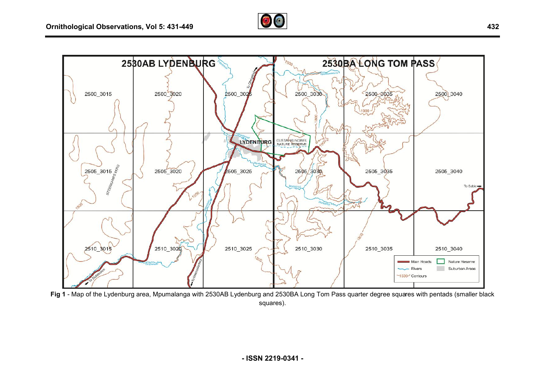



Fig 1 - Map of the Lydenburg area, Mpumalanga with 2530AB Lydenburg and 2530BA Long Tom Pass quarter degree squares with pentads (smaller black squares).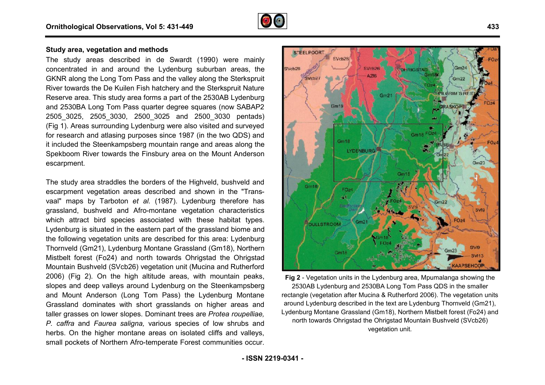

## **Study area, vegetation and methods**

The study areas described in de Swardt (1990) were mainly concentrated in and around the Lydenburg suburban areas, the GKNR along the Long Tom Pass and the valley along the Sterkspruit GKNR along the Long Tom Pass and the valley along the Sterkspruit<br>River towards the De Kuilen Fish hatchery and the Sterkspruit Nature Reserve area. This study area forms a part of the 2530AB Lydenburg and 2530BA Long Tom Pass quarter degree squares (now SABAP2 2505\_3025, 2505\_3030, 2500\_3025 and 2500\_3030 pentads) 2505\_3025, 2505\_3030, 2500\_3025 and 2500\_3030 pentads)<br>(Fig 1). Areas surrounding Lydenburg were also visited and surveyed for research and atlasing purposes since 1987 (in the two QDS) and it included the Steenkampsberg mountain range and areas along the Spekboom River towards the Finsbury area on the Mount Anderson escarpment.

The study area straddles the borders of the Highveld, bushveld and escarpment vegetation areas described and shown in the "Transvaal" maps by Tarboton *et al.* (1987). Lydenburg therefore has grassland, bushveld and Afro-montane vegetation characteristics which attract bird species associated with these habitat types. Lydenburg is situated in the eastern part of the grassland biome and the following vegetation units are described for this area: Lydenburg Thornveld (Gm21), Lydenburg Montane Grassland (Gm18), Northern Mistbelt forest (Fo24) and north towards Ohrigstad the Ohrigstad Mountain Bushveld (SVcb26) vegetation unit (Mucina and 2006) (Fig 2). On the high altitude areas, with mountain peaks, slopes and deep valleys around Lydenburg on the Steenkampsberg and Mount Anderson (Long Tom Pass) the Lydenburg Montane Grassland dominates with short grasslands on higher areas and taller grasses on lower slopes. Dominant trees are *Protea roupelliae, P. caffra* and *Faurea saligna,* various species of low shrubs and herbs. On the higher montane areas on isolated cliffs and valleys, small pockets of Northern Afro-temperate Forest communities occur. rassland, bushveld and Afro-montane vegetation characteristics<br>hich attract bird species associated with these habitat types.<br>ydenburg is situated in the eastern part of the grassland biome and<br>ne following vegetation unit



is, with mountain peaks, Fig 2 - Vegetation units in the Lydenburg area, Mpumalanga showing the general of the Steenkampsberg the Lydenburg area, and the Lydenburg Montane displane the Lydenburg Montane areas and around Ly 2530AB Lydenburg and 2530BA Long Tom Pass QDS in the smaller rectangle (vegetation after Mucina & Rutherford 2006). The vegetation units around Lydenburg described in the text are Lydenburg Tho Thornveld (Gm21), Lydenburg Montane Grassland (Gm18), Northern Mistbelt forest (F (Fo24) and north towards Ohrigstad the Ohrigstad Mountain Bushveld (SVcb26) vegetation unit.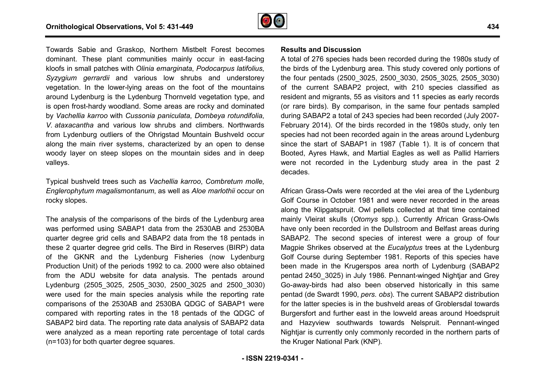

Towards Sabie and Graskop, Northern Mistbelt Forest becomes dominant. These plant communities mainly occur in east-facing kloofs in small patches with *Olinia emarginata*, *Podocarpus latifolius* , Syzygium gerrardii and various low shrubs and understorey vegetation. In the lower-lying areas on the foot of the mountains around Lydenburg is the Lydenburg Thornveld vegetation type, and is open frost-hardy woodland. Some areas are rocky and dominated vegetation. In the lower-lying areas on the foot of the mountains around Lydenburg is the Lydenburg Thornveld vegetation type, and is open frost-hardy woodland. Some areas are rocky and dominated by Vachellia karroo with C *V. ataxacantha* and various low shrubs and climbers. Northwards from Lydenburg outliers of the Ohrigstad Mountain Bushveld occur along the main river systems, characterized by an open to dense woody layer on steep slopes on the mountain sides and in deep valleys. from Lydenburg outliers of the Ohrigstad Mountain Bushveld occur<br>along the main river systems, characterized by an open to dense<br>woody layer on steep slopes on the mountain sides and in deep<br>valleys.<br>Typical bushveld trees

*Englerophytum magalismontanum*, as well as *Aloe marlothii*  occur on rocky slopes.

The analysis of the comparisons of the birds of the Lydenburg area was performed using SABAP1 data from the 2530AB and 2530BA quarter degree grid cells and SABAP2 data from the 18 pentads in these 2 quarter degree grid cells. The Bird in Reserves (BIRP) data of the GKNR and the Lydenburg Fisheries (now Lydenburg Production Unit) of the periods 1992 to ca. 2000 were also obtained from the ADU website for data analysis. The pentads around Lydenburg (2505\_3025, 2505\_3030, 2500\_3025 and 2500\_3030) were used for the main species analysis while the reporting rate comparisons of the 2530AB and 2530BA QDGC of SABAP1 were compared with reporting rates in the 18 pentads of the QDGC of SABAP2 bird data. The reporting rate data analysis of SABAP2 data were analyzed as a mean reporting rate percentage of total cards (n=103) for both quarter degree squares.

A total of 276 species hads been recorded during the 1980 1980s study of the birds of the Lydenburg area. This study covered only portions of the four pentads (2500\_3025, 2500\_3030, 2505\_3025 2505\_3025, 2505\_3030) of the current SABAP2 project, with 210 species classified as resident and migrants, 55 as visitors and 11 species as early records (or rare birds). By comparison, in the same four pentads sampled during SABAP2 a total of 243 species had been recorded (July 2007 2007- February 2014). Of the birds recorded in the 19 1980s study, only ten species had not been recorded again in the areas around Lydenburg species had not been recorded again in the areas around Lydenburg<br>since the start of SABAP1 in 1987 (Table 1). It is of concern that Booted, Ayres Hawk, and Martial Eagles as well as Pallid Harriers were not recorded in the Lydenburg study area in the past 2 decades.

African Grass-Owls were recorded at the vlei area of the Lydenburg Golf Course in October 1981 and were never recorded in the areas along the Klipgatspruit. Owl pellets collected at that time contained African Grass-Owls were recorded at the vlei area of the Lydenburg<br>Golf Course in October 1981 and were never recorded in the areas<br>along the Klipgatspruit. Owl pellets collected at that time contained<br>mainly Vleirat skull have only been recorded in the Dullstroom and Belfast areas during SABAP2. The second species of interest were a group of four Magpie Shrikes observed at the *Eucalyptus* trees at the Lydenburg Golf Course during September 1981. Reports of this species have been made in the Krugerspos area north of Lydenburg (SABAP2 been made in the Krugerspos area north of Lydenburg (SABAP2<br>pentad 2450\_3025) in July 1986. Pennant-winged Nightjar and Grey Go-away-birds had also been observed historically in this same pentad (de Swardt 1990, *pers. obs*). The current SABAP2 distribution for the latter species is in the bushveld areas of Groblersdal towards pentad (de Swardt 1990, *pers. obs*). The current SABAP2 distribution<br>for the latter species is in the bushveld areas of Groblersdal towards<br>Burgersfort and further east in the lowveld areas around Hoedspruit and Hazyview southwards towards Nelspruit. Pennant-winged Nightjar is currently only commonly recorded in the northern parts of the Kruger National Park (KNP).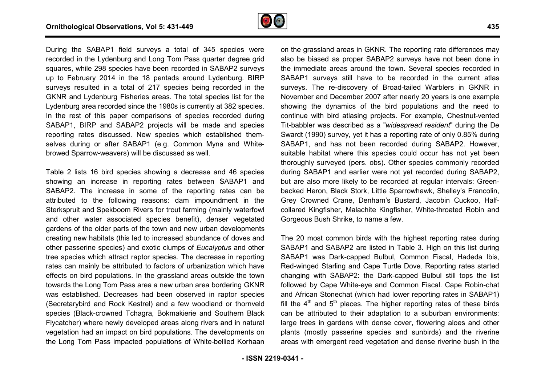

During the SABAP1 field surveys a total of 345 species were recorded in the Lydenburg and Long Tom Pass quarter degree grid squares, while 298 species have been recorded in SABAP2 surveys up to February 2014 in the 18 pentads around Lydenburg. BIRP surveys resulted in a total of 217 species being recorded in the GKNR and Lydenburg Fisheries areas. The total species list for the Lydenburg area recorded since the 1980s is currently at 382 species. In the rest of this paper comparisons of species recorded during SABAP1, BIRP and SABAP2 projects will be made and species reporting rates discussed. New species which established themselves during or after SABAP1 (e.g. Common Myna and Whitebrowed Sparrow-weavers) will be discussed as well. <sup>p</sup>ass d<br>rded ir<br>round 1980s is currently at 382 species.<br>sons of species recorded during<br>pjects will be made and species

Table 2 lists 16 bird species showing a decrease and 46 species showing an increase in reporting rates between SABAP1 and SABAP2. The increase in some of the reporting rates can be attributed to the following reasons: dam impoundment i in the Sterkspruit and Spekboom Rivers for trout farming (mainly waterfowl and other water associated species benefit), denser vegetated gardens of the older parts of the town and new urban developments creating new habitats (this led to increased abundance of do other passerine species) and exotic clumps of *Eucalyptus* and other tree species which attract raptor species. The decrease in reporting rates can mainly be attributed to factors of urbanization which have effects on bird populations. In the grassland areas outside the town towards the Long Tom Pass area a new urban area bordering GKNR was established. Decreases had been observed in raptor species (Secretarybird and Rock Kestrel) and a few woodland or thornveld species (Black-crowned Tchagra, Bokmakierie and Southern Black Flycatcher) where newly developed areas along rivers and in vegetation had an impact on bird populations. The developments on the Long Tom Pass impacted populations of White-bellied Korhaan ivers for trout farming (mainly waterfowl<br>d species benefit), denser vegetated<br>the town and new urban developments<br>d to increased abundance of doves and nd areas outside the town<br>ban area bordering GKNR<br>bserved in raptor species<br>iew woodland or thornveld<br>kierie and Southern Black<br>along rivers and in natural

is greecies were<br>only the prassland areas in GKNR. The reporting rate differences may<br>able belied as proper SABAP2 surveys have not been done in ABAP2 surveys the immediate areas around the town. Several species recorded i also be biased as proper SABAP2 surveys have not been done in the immediate areas around the town. Several species recorded in SABAP1 surveys still have to be recorded in the current atlas surveys. The re-discovery of Broad-tailed Warblers in GKNR in November and December 2007 after nearly 20 years is one example showing the dynamics of the bird populations and the need to continue with bird atlasing projects. For example, Chestnut-vented Tit-babbler was described as a "*widespread resident spread*" during the De Swardt (1990) survey, yet it has a reporting rate of only 0.85% during SABAP1, and has not been recorded during SABAP2. However, suitable habitat where this species could occur has not yet been thoroughly surveyed (pers. obs). Other species commonly reco recorded during SABAP1 and earlier were not yet recorded during SABAP2, during SABAP1 and earlier were not yet recorded during SABAP2,<br>but are also more likely to be recorded at regular intervals: Greenbacked Heron, Black Stork, Little Sparrowhawk, Shelley's Francolin, Grey Crowned Crane, Denham's Bustard, Jacobin Cuckoo, Halfcollared Kingfisher, Malachite Kingfisher, White-throated Robin and Gorgeous Bush Shrike, to name a few. e reporting rate differences may<br>surveys have not been done in<br>vn. Several species recorded in<br>recorded in the current atlas<br>d-tailed Warblers in GKNR in<br>nearly 20 years is one example<br>populations and the need to

The 20 most common birds with the highest reporting rates during SABAP1 and SABAP2 are listed in Table 3. High on this list during SABAP1 was Dark-capped Bulbul, Common Fiscal, Hadeda Ibis, Red-winged Starling and Cape Turtle Dove. Reporting rates started SABAP1 was Dark-capped Bulbul, Common Fiscal, Hadeda Ibis,<br>Red-winged Starling and Cape Turtle Dove. Reporting rates started<br>changing with SABAP2: the Dark-capped Bulbul still tops the list followed by Cape White-eye and Common Fiscal. Cape Robin-chat and African Stonechat (which had lower reporting rates in SABAP1) fill the  $4<sup>th</sup>$  and  $5<sup>th</sup>$  places. The higher reporting rates of these birds can be attributed to their adaptation to a suburban environments: large trees in gardens with dense cover, flowering aloes and other plants (mostly passerine species and sunbirds) and the riverine areas with emergent reed vegetation and dense riverine bush in the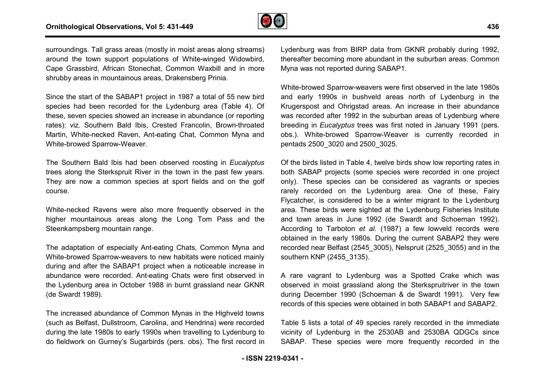

surroundings. Tall grass areas (mostly in moist areas along streams) around the town support populations of White-winged Widowbird, Cape Grassbird, African Stonechat, Common Waxbill and in more shrubby areas in mountainous areas, Drakensberg Prinia. winged Widowbird,<br>/axbill and in more<br>g Prinia.<br>total of 55 new bird

Since the start of the SABAP1 project in 1987 a total of 55 new bird species had been recorded for the Lydenburg area ( (Table 4). Of these, seven species showed an increase in abundance (or reporting rates): viz. Southern Bald Ibis, Crested Francolin, Brown Brown-throated Martin, White-necked Raven, Ant-eating Chat, Common Myna and White-browed Sparrow-Weaver.

The Southern Bald Ibis had been observed roosting in *Eucalyptus*  trees along the Sterkspruit River in the town in the past few years. They are now a common species at sport fields and on the golf course.

White-necked Ravens were also more frequently observed in the higher mountainous areas along the Long Tom Pass and the Steenkampsberg mountain range.

The adaptation of especially Ant-eating Chats, Common Myna and White-browed Sparrow-weavers to new habitats were noticed mainly during and after the SABAP1 project when a noticeable increase in abundance were recorded. Ant-eating Chats were first observed in the Lydenburg area in October 1988 in burnt grassland near GKNR (de Swardt 1989). eating Chats, Common Myna and<br>b new habitats were noticed mainly<br>ject when a noticeable increase in eating Chats were first observed in<br>1988 in burnt grassland near GKNR<br>mmon Mynas in the Highveld towns<br>rolina, and Hendrina) were recorded

The increased abundance of Common Mynas in the Highveld towns (such as Belfast, Dullstroom, Carolina, and Hendrina) wer during the late 1980s to early 1990s when travelling to Lydenburg to do fieldwork on Gurney's Sugarbirds (pers. obs). The first record in thereafter becoming more abundant in the suburban areas. Common Myna was not reported during SABAP1.

White-browed Sparrow-weavers were first observed in the late 1980s and early 1990s in bushveld areas north of Lydenburg in the Krugerspost and Ohrigstad areas. An increase in their abundance was recorded after 1992 in the suburban areas of Lydenburg where breeding in *Eucalyptus* trees was first noted in January 1991 (pers. obs.). White-browed Sparrow-Weaver is currently recorded in pentads 2500\_3020 and 2500\_3025.

sares are into the molet areas along streament in Lipechurg was from BIRP data from GKNR probably during 1992,<br>the sacking stream Support populations of White-winged Widowbrid, thereafter becoming more abundant in the subu Of the birds listed in Table 4, twelve birds show low reporting rates in both SABAP projects (some species were recorded in one project only). These species can be considered as vagrants or species rarely recorded on the Lydenburg area. One of these, Fairy Flycatcher, is considered to be a winter migrant to the Lydenburg area. These birds were sighted at the Lydenburg Fisheries Institute and town areas in June 1992 (de Swardt and Schoeman 1992). According to Tarboton et al. (1987) a few lowveld records were obtained in the early 1980s. During the current SABAP2 they were recorded near Belfast (2545\_3005), Nelspruit (2525\_3055) and in the southern KNP (2455\_3135). eaver is currently recorded in<br>25.<br>e birds show low reporting rates in<br>ies were recorded in one project<br>nsidered as vagrants or species

A rare vagrant to Lydenburg was a Spotted Crake which was observed in moist grassland along the Sterkspruitriver in the town during December 1990 (Schoeman & de Swardt 1991). Very few records of this species were obtained in both SABAP1 and SABAP2.

Table 5 lists a total of 49 species rarely recorded in the immediate Table 5 lists a total of 49 species rarely recorded in the immediate<br>vicinity of Lydenburg in the 2530AB and 2530BA QDGCs since SABAP. These species were more frequently recorded in the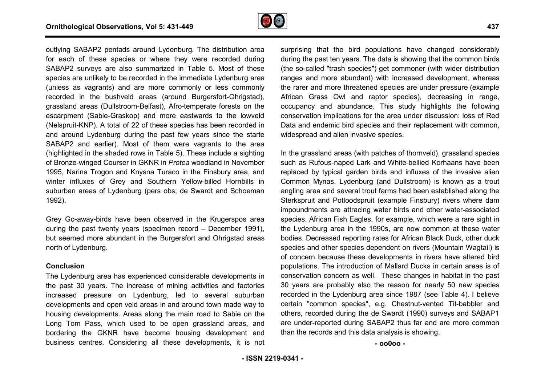

outlying SABAP2 pentads around Lydenburg. The distribution area for each of these species or where they were recorded during SABAP2 surveys are also summarized in Table 5. Most of these species are unlikely to be recorded in the immediate Lydenburg area (unless as vagrants) and are more commonly or less commonly recorded in the bushveld areas (around Burgersfort-Ohrigstad), grassland areas (Dullstroom-Belfast), Afro-temperate forests on the escarpment (Sabie-Graskop) and more eastwards to the lowveld (Nelspruit-KNP). A total of 22 of these species has been recorded in grassland areas (Dullstroom-Belfast), Afro-temperate forests on the<br>escarpment (Sabie-Graskop) and more eastwards to the lowveld<br>(Nelspruit-KNP). A total of 22 of these species has been recorded in<br>and around Lydenburg dur SABAP2 and earlier). Most of them were vagrants to the area (highlighted in the shaded rows in Table 5). These include a sighting of Bronze-winged Courser in GKNR in *Protea* woodland in November 1995, Narina Trogon and Knysna Turaco in the Finsbury area, and winter influxes of Grey and Southern Yellow-billed Hornbills in suburban areas of Lydenburg (pers obs; de Swardt and Schoeman 1992). rg. The distribution area<br>y were recorded during<br>Table 5. Most of these<br>nmediate Lydenburg area<br>monly or less commonly<br>d Burgersfort-Ohrigstad),

Grey Go-away-birds have been observed in the Krugerspos area during the past twenty years (specimen record – December 1991), but seemed more abundant in the Burgersfort and Ohrigstad areas north of Lydenburg.

#### **Conclusion**

The Lydenburg area has experienced considerable developments in the past 30 years. The increase of mining activities and factories increased pressure on Lydenburg, led to several suburban developments and open veld areas in and around town made way to housing developments. Areas along the main road to Sabie on the Long Tom Pass, which used to be open grassland areas, and bordering the GKNR have become housing development and business centres. Considering all these developments, it is not during the past ten years. The data is showing that the common birds during the past ten years. The data is showing that the common birds<br>(the so-called "trash species") get commoner (with wider distribution ranges and more abundant) with increased development, whereas the rarer and more threatened species are under pressure (example African Grass Owl and raptor species), decreasing in range, occupancy and abundance. This study highlights the following conservation implications for the area under discussion: loss of Red Data and endemic bird species and their replacement with common, widespread and alien invasive species.

NGAP2 pentals around Lydenburg. The distibution area surprising that the bird populations have changed considerably<br>APC per section of the population area surprising that the bird populations have changed considerably<br>are In the grassland areas (with patches of thornveld), grassland species such as Rufous-naped Lark and White-bellied Korhaans have been replaced by typical garden birds and influxes of the invasive alien Common Mynas. Lydenburg (and Dullstroom) is known as a trout angling area and several trout farms had been established along the Sterkspruit and Potloodspruit (example Finsbury) rivers where dam impoundments are attracing water birds and other water-associated species. African Fish Eagles, for example, which were a rare sight in the Lydenburg area in the 1990s, are now common at these water bodies. Decreased reporting rates for African Black Duck species and other species dependent on rivers (Mountain Wagtail) is of concern because these developments in rivers have altered bird populations. The introduction of Mallard Ducks in certain areas is of conservation concern as well. These changes in habitat in the past 30 years are probably also the reason for nearly 50 new species recorded in the Lydenburg area since 1987 (see Table 4). I believe certain "common species", e.g. Chestnut-vented Tit-babbler and others, recorded during the de Swardt (1990) surveys and SABAP1 are under-reported during SABAP2 thus far and are more common than the records and this data analysis is showing. bellied Korhaans have been<br>nfluxes of the invasive alien<br>stroom) is known as a trout<br>d been established along the sh Eagles, for example, which were a rare sight in<br>la in the 1990s, are now common at these water<br>l reporting rates for African Black Duck, other duck

**- oo0oo -** 

**437**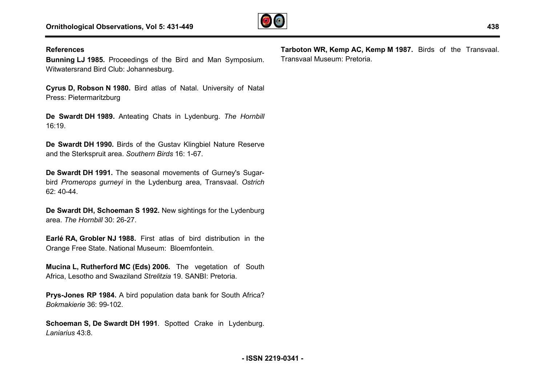

#### **References**

**Bunning LJ 1985.** Proceedings of the Bird and Man Symposium. Witwatersrand Bird Club: Johannesburg.

**Cyrus D, Robson N 1980.** Bird atlas of Natal. University of Natal Press: Pietermaritzburg

**De Swardt DH 1989.** Anteating Chats in Lydenburg. *The Hornbill* 16:19.

**De Swardt DH 1990.** Birds of the Gustav Klingbiel Nature Reserve and the Sterkspruit area. *Southern Birds* 16: 1-67.

**De Swardt DH 1991.** The seasonal movements of Gurney's Sugar Sugarbird *Promerops gurneyi* in the Lydenburg area, Transvaal. *Ostrich*  62: 40-44.

**De Swardt DH, Schoeman S 1992.** New sightings for the Lydenburg area. *The Hornbill* 30: 26-27.

**Earlé RA, Grobler NJ 1988.** First atlas of bird distribution in the Orange Free State. National Museum: Bloemfontein.

**Mucina L, Rutherford MC (Eds) 2006.** The vegetation of South Africa, Lesotho and Swaziland *Strelitzia* 19. SANBI: Pretoria.

**Prys-Jones RP 1984.** A bird population data bank for South Africa? *Bokmakierie* 36: 99-102.

**Schoeman S, De Swardt DH 1991**. Spotted Crake in Lydenburg. *Laniarius* 43:8.

**Tarboton WR, Kemp AC, Kemp M 1987.** Birds of the Transvaal. Transvaal Museum: Pretoria.

**438**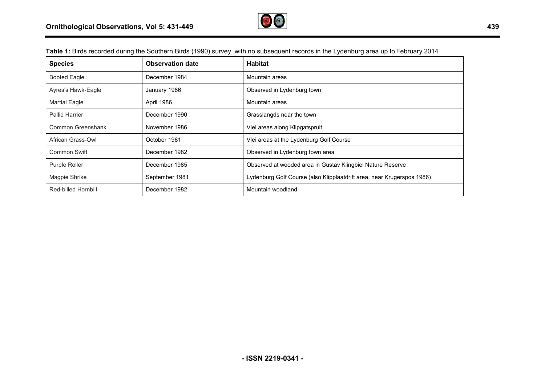

| <b>Species</b>        | <b>Observation date</b> | <b>Habitat</b>                                                         |
|-----------------------|-------------------------|------------------------------------------------------------------------|
| <b>Booted Eagle</b>   | December 1984           | Mountain areas                                                         |
| Ayres's Hawk-Eagle    | January 1986            | Observed in Lydenburg town                                             |
| <b>Martial Eagle</b>  | April 1986              | Mountain areas                                                         |
| <b>Pallid Harrier</b> | December 1990           | Grasslangds near the town                                              |
| Common Greenshank     | November 1986           | Vlei areas along Klipgatspruit                                         |
| African Grass-Owl     | October 1981            | Viei areas at the Lydenburg Golf Course                                |
| Common Swift          | December 1982           | Observed in Lydenburg town area                                        |
| Purple Roller         | December 1985           | Observed at wooded area in Gustav Klingbiel Nature Reserve             |
| Magpie Shrike         | September 1981          | Lydenburg Golf Course (also Klipplaatdrift area, near Krugerspos 1986) |
| Red-billed Hornbill   | December 1982           | Mountain woodland                                                      |

Table 1: Birds recorded during the Southern Birds (1990) survey, with no subsequent records in the Lydenburg area up to February 2014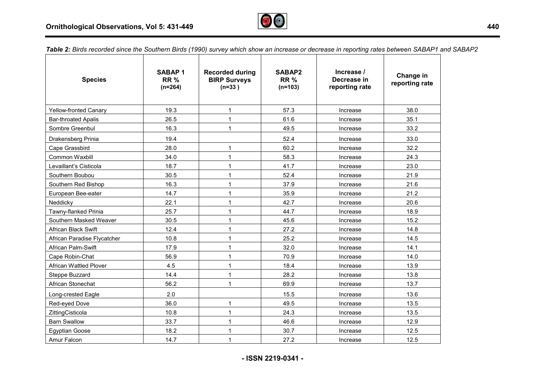

Table 2: Birds recorded since the Southern Birds (1990) survey which show an increase or decrease in reporting rates between SABAP1 and SABAP2

| <b>Species</b>                | <b>SABAP1</b><br><b>RR%</b><br>$(n=264)$ | <b>Recorded during</b><br><b>BIRP Surveys</b><br>$(n=33)$ | SABAP2<br><b>RR%</b><br>$(n=103)$ | Increase /<br>Decrease in<br>reporting rate | Change in<br>reporting rate |
|-------------------------------|------------------------------------------|-----------------------------------------------------------|-----------------------------------|---------------------------------------------|-----------------------------|
| <b>Yellow-fronted Canary</b>  | 19.3                                     | $\mathbf{1}$                                              | 57.3                              | Increase                                    | 38.0                        |
| <b>Bar-throated Apalis</b>    | 26.5                                     | $\mathbf{1}$                                              | 61.6                              | Increase                                    | 35.1                        |
| Sombre Greenbul               | 16.3                                     | $\mathbf{1}$                                              | 49.5                              | Increase                                    | 33.2                        |
| Drakensberg Prinia            | 19.4                                     |                                                           | 52.4                              | Increase                                    | 33.0                        |
| Cape Grassbird                | 28.0                                     | 1                                                         | 60.2                              | Increase                                    | 32.2                        |
| Common Waxbill                | 34.0                                     | 1                                                         | 58.3                              | Increase                                    | 24.3                        |
| Levaillant's Cisticola        | 18.7                                     | $\mathbf{1}$                                              | 41.7                              | Increase                                    | 23.0                        |
| Southern Boubou               | 30.5                                     | 1                                                         | 52.4                              | Increase                                    | 21.9                        |
| Southern Red Bishop           | 16.3                                     | 1                                                         | 37.9                              | Increase                                    | 21.6                        |
| European Bee-eater            | 14.7                                     | $\mathbf{1}$                                              | 35.9                              | Increase                                    | 21.2                        |
| Neddicky                      | 22.1                                     | $\mathbf{1}$                                              | 42.7                              | Increase                                    | 20.6                        |
| Tawny-flanked Prinia          | 25.7                                     | $\mathbf{1}$                                              | 44.7                              | Increase                                    | 18.9                        |
| Southern Masked Weaver        | 30.5                                     | $\mathbf{1}$                                              | 45.6                              | Increase                                    | 15.2                        |
| <b>African Black Swift</b>    | 12.4                                     | 1                                                         | 27.2                              | Increase                                    | 14.8                        |
| African Paradise Flycatcher   | 10.8                                     | 1                                                         | 25.2                              | Increase                                    | 14.5                        |
| African Palm-Swift            | 17.9                                     | $\mathbf{1}$                                              | 32.0                              | Increase                                    | 14.1                        |
| Cape Robin-Chat               | 56.9                                     | 1                                                         | 70.9                              | Increase                                    | 14.0                        |
| <b>African Wattled Plover</b> | 4.5                                      | 1                                                         | 18.4                              | Increase                                    | 13.9                        |
| Steppe Buzzard                | 14.4                                     | $\mathbf{1}$                                              | 28.2                              | Increase                                    | 13.8                        |
| African Stonechat             | 56.2                                     | $\mathbf{1}$                                              | 69.9                              | Increase                                    | 13.7                        |
| Long-crested Eagle            | 2.0                                      |                                                           | 15.5                              | Increase                                    | 13.6                        |
| Red-eyed Dove                 | 36.0                                     | $\mathbf{1}$                                              | 49.5                              | Increase                                    | 13.5                        |
| ZittingCisticola              | 10.8                                     | 1                                                         | 24.3                              | Increase                                    | 13.5                        |
| <b>Barn Swallow</b>           | 33.7                                     | $\mathbf{1}$                                              | 46.6                              | Increase                                    | 12.9                        |
| <b>Egyptian Goose</b>         | 18.2                                     | $\mathbf{1}$                                              | 30.7                              | Increase                                    | 12.5                        |
| Amur Falcon                   | 14.7                                     | 1                                                         | 27.2                              | Increase                                    | 12.5                        |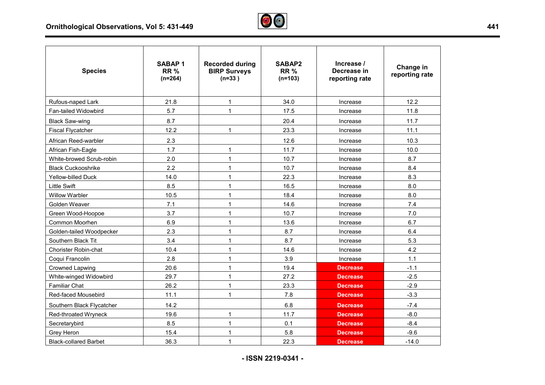

| <b>Species</b>               | <b>SABAP1</b><br><b>RR %</b><br>$(n=264)$ | <b>Recorded during</b><br><b>BIRP Surveys</b><br>$(n=33)$ | SABAP2<br><b>RR%</b><br>$(n=103)$ | Increase /<br>Decrease in<br>reporting rate | Change in<br>reporting rate |
|------------------------------|-------------------------------------------|-----------------------------------------------------------|-----------------------------------|---------------------------------------------|-----------------------------|
| Rufous-naped Lark            | 21.8                                      | $\mathbf{1}$                                              | 34.0                              | Increase                                    | 12.2                        |
| Fan-tailed Widowbird         | 5.7                                       | $\mathbf{1}$                                              | 17.5                              | Increase                                    | 11.8                        |
| <b>Black Saw-wing</b>        | 8.7                                       |                                                           | 20.4                              | Increase                                    | 11.7                        |
| <b>Fiscal Flycatcher</b>     | 12.2                                      | $\mathbf 1$                                               | 23.3                              | Increase                                    | 11.1                        |
| African Reed-warbler         | 2.3                                       |                                                           | 12.6                              | Increase                                    | 10.3                        |
| African Fish-Eagle           | 1.7                                       | 1                                                         | 11.7                              | Increase                                    | 10.0                        |
| White-browed Scrub-robin     | 2.0                                       | $\mathbf{1}$                                              | 10.7                              | Increase                                    | 8.7                         |
| <b>Black Cuckooshrike</b>    | 2.2                                       | $\mathbf 1$                                               | 10.7                              | Increase                                    | 8.4                         |
| Yellow-billed Duck           | 14.0                                      | $\mathbf{1}$                                              | 22.3                              | Increase                                    | 8.3                         |
| <b>Little Swift</b>          | 8.5                                       | 1                                                         | 16.5                              | Increase                                    | 8.0                         |
| <b>Willow Warbler</b>        | 10.5                                      | $\mathbf{1}$                                              | 18.4                              | Increase                                    | 8.0                         |
| Golden Weaver                | 7.1                                       | $\mathbf 1$                                               | 14.6                              | Increase                                    | 7.4                         |
| Green Wood-Hoopoe            | 3.7                                       | $\mathbf 1$                                               | 10.7                              | Increase                                    | 7.0                         |
| Common Moorhen               | 6.9                                       | 1                                                         | 13.6                              | Increase                                    | 6.7                         |
| Golden-tailed Woodpecker     | 2.3                                       | $\mathbf{1}$                                              | 8.7                               | Increase                                    | 6.4                         |
| Southern Black Tit           | 3.4                                       |                                                           | 8.7                               | Increase                                    | 5.3                         |
| Chorister Robin-chat         | 10.4                                      | $\mathbf 1$                                               | 14.6                              | Increase                                    | 4.2                         |
| Coqui Francolin              | 2.8                                       | 1                                                         | 3.9                               | Increase                                    | 1.1                         |
| Crowned Lapwing              | 20.6                                      | 1                                                         | 19.4                              | <b>Decrease</b>                             | $-1.1$                      |
| White-winged Widowbird       | 29.7                                      | 1                                                         | 27.2                              | <b>Decrease</b>                             | $-2.5$                      |
| <b>Familiar Chat</b>         | 26.2                                      | $\mathbf 1$                                               | 23.3                              | <b>Decrease</b>                             | $-2.9$                      |
| Red-faced Mousebird          | 11.1                                      | 1                                                         | 7.8                               | <b>Decrease</b>                             | $-3.3$                      |
| Southern Black Flycatcher    | 14.2                                      |                                                           | 6.8                               | <b>Decrease</b>                             | $-7.4$                      |
| Red-throated Wryneck         | 19.6                                      | $\mathbf{1}$                                              | 11.7                              | <b>Decrease</b>                             | $-8.0$                      |
| Secretarybird                | 8.5                                       | $\mathbf{1}$                                              | 0.1                               | <b>Decrease</b>                             | $-8.4$                      |
| Grey Heron                   | 15.4                                      | $\mathbf{1}$                                              | 5.8                               | <b>Decrease</b>                             | $-9.6$                      |
| <b>Black-collared Barbet</b> | 36.3                                      | $\mathbf{1}$                                              | 22.3                              | <b>Decrease</b>                             | $-14.0$                     |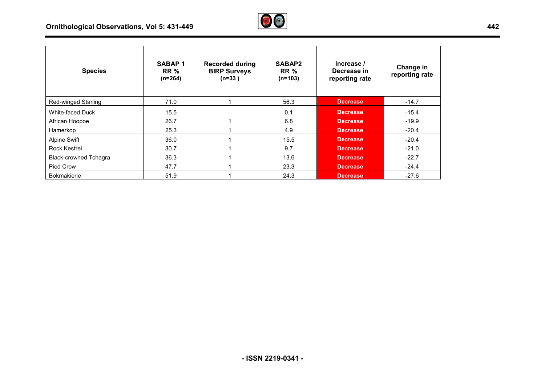## **Ornithological Observations, Vol 5: 431-449**



| <b>Species</b>               | <b>SABAP1</b><br><b>RR</b> %<br>$(n=264)$ | <b>Recorded during</b><br><b>BIRP Surveys</b><br>$(n=33)$ | SABAP2<br><b>RR %</b><br>$(n=103)$ | Increase /<br>Decrease in<br>reporting rate | Change in<br>reporting rate |
|------------------------------|-------------------------------------------|-----------------------------------------------------------|------------------------------------|---------------------------------------------|-----------------------------|
| <b>Red-winged Starling</b>   | 71.0                                      |                                                           | 56.3                               | <b>Decrease</b>                             | $-14.7$                     |
| White-faced Duck             | 15.5                                      |                                                           | 0.1                                | <b>Decrease</b>                             | $-15.4$                     |
| African Hoopoe               | 26.7                                      |                                                           | 6.8                                | <b>Decrease</b>                             | $-19.9$                     |
| Hamerkop                     | 25.3                                      |                                                           | 4.9                                | <b>Decrease</b>                             | $-20.4$                     |
| <b>Alpine Swift</b>          | 36.0                                      |                                                           | 15.5                               | <b>Decrease</b>                             | $-20.4$                     |
| <b>Rock Kestrel</b>          | 30.7                                      |                                                           | 9.7                                | <b>Decrease</b>                             | $-21.0$                     |
| <b>Black-crowned Tchagra</b> | 36.3                                      |                                                           | 13.6                               | <b>Decrease</b>                             | $-22.7$                     |
| Pied Crow                    | 47.7                                      |                                                           | 23.3                               | <b>Decrease</b>                             | $-24.4$                     |
| Bokmakierie                  | 51.9                                      |                                                           | 24.3                               | <b>Decrease</b>                             | $-27.6$                     |

 $\overline{\phantom{a}}$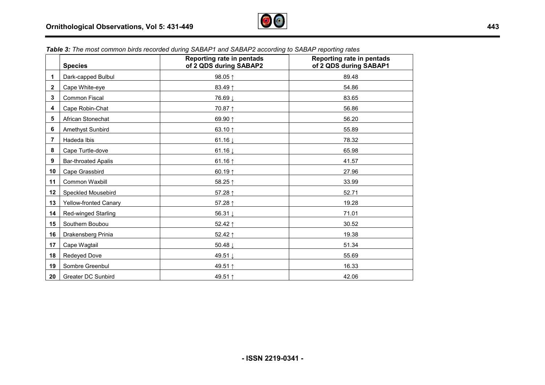

|              | <b>Species</b>               | Reporting rate in pentads<br>of 2 QDS during SABAP2 | Reporting rate in pentads<br>of 2 QDS during SABAP1 |
|--------------|------------------------------|-----------------------------------------------------|-----------------------------------------------------|
| 1            | Dark-capped Bulbul           | 98.05 ↑                                             | 89.48                                               |
| $\mathbf{2}$ | Cape White-eye               | 83.49 1                                             | 54.86                                               |
| 3            | Common Fiscal                | 76.69 ↓                                             | 83.65                                               |
| 4            | Cape Robin-Chat              | 70.87 1                                             | 56.86                                               |
| 5            | African Stonechat            | 69.90 ↑                                             | 56.20                                               |
| 6            | Amethyst Sunbird             | 63.10 $\uparrow$                                    | 55.89                                               |
| 7            | Hadeda Ibis                  | 61.16 $\downarrow$                                  | 78.32                                               |
| 8            | Cape Turtle-dove             | 61.16 $\downarrow$                                  | 65.98                                               |
| 9            | <b>Bar-throated Apalis</b>   | 61.16 $\uparrow$                                    | 41.57                                               |
| 10           | Cape Grassbird               | 60.19 $\uparrow$                                    | 27.96                                               |
| 11           | Common Waxbill               | 58.25↑                                              | 33.99                                               |
| 12           | Speckled Mousebird           | 57.28 ↑                                             | 52.71                                               |
| 13           | <b>Yellow-fronted Canary</b> | 57.28 ↑                                             | 19.28                                               |
| 14           | <b>Red-winged Starling</b>   | 56.31↓                                              | 71.01                                               |
| 15           | Southern Boubou              | 52.42 ↑                                             | 30.52                                               |
| 16           | Drakensberg Prinia           | 52.42 ↑                                             | 19.38                                               |
| 17           | Cape Wagtail                 | 50.48↓                                              | 51.34                                               |
| 18           | Redeyed Dove                 | 49.51 ↓                                             | 55.69                                               |
| 19           | Sombre Greenbul              | 49.51 ↑                                             | 16.33                                               |
| 20           | <b>Greater DC Sunbird</b>    | 49.51 ↑                                             | 42.06                                               |

*Table 3: The most common birds recorded during SABAP1 and SABAP2 according to SABAP reporting rates*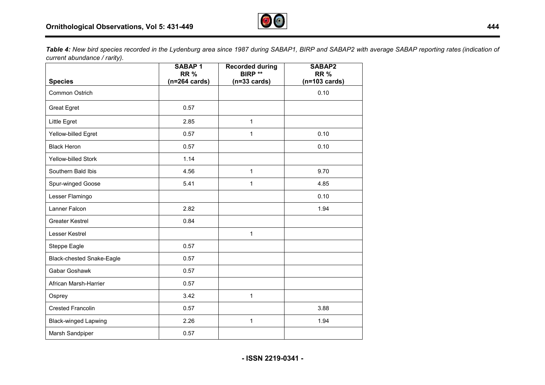

Table 4: New bird species recorded in the Lydenburg area since 1987 during SABAP1, BIRP and SABAP2 with average SABAP reporting rates (indication of *current abundance / rarity).* 

|                             | <b>SABAP1</b><br><b>RR%</b><br>$(n=264 \text{ cards})$ | <b>Recorded during</b><br><b>BIRP **</b> | SABAP2<br><b>RR%</b><br>$(n=103 \text{ cards})$ |
|-----------------------------|--------------------------------------------------------|------------------------------------------|-------------------------------------------------|
| <b>Species</b>              |                                                        | $(n=33 \text{ cards})$                   |                                                 |
| Common Ostrich              |                                                        |                                          | 0.10                                            |
| <b>Great Egret</b>          | 0.57                                                   |                                          |                                                 |
| Little Egret                | 2.85                                                   | $\mathbf{1}$                             |                                                 |
| Yellow-billed Egret         | 0.57                                                   | 1                                        | 0.10                                            |
| <b>Black Heron</b>          | 0.57                                                   |                                          | 0.10                                            |
| <b>Yellow-billed Stork</b>  | 1.14                                                   |                                          |                                                 |
| Southern Bald Ibis          | 4.56                                                   | $\mathbf{1}$                             | 9.70                                            |
| Spur-winged Goose           | 5.41                                                   | 1                                        | 4.85                                            |
| Lesser Flamingo             |                                                        |                                          | 0.10                                            |
| Lanner Falcon               | 2.82                                                   |                                          | 1.94                                            |
| <b>Greater Kestrel</b>      | 0.84                                                   |                                          |                                                 |
| Lesser Kestrel              |                                                        | 1                                        |                                                 |
| Steppe Eagle                | 0.57                                                   |                                          |                                                 |
| Black-chested Snake-Eagle   | 0.57                                                   |                                          |                                                 |
| Gabar Goshawk               | 0.57                                                   |                                          |                                                 |
| African Marsh-Harrier       | 0.57                                                   |                                          |                                                 |
| Osprey                      | 3.42                                                   | $\mathbf{1}$                             |                                                 |
| <b>Crested Francolin</b>    | 0.57                                                   |                                          | 3.88                                            |
| <b>Black-winged Lapwing</b> | 2.26                                                   | $\mathbf{1}$                             | 1.94                                            |
| Marsh Sandpiper             | 0.57                                                   |                                          |                                                 |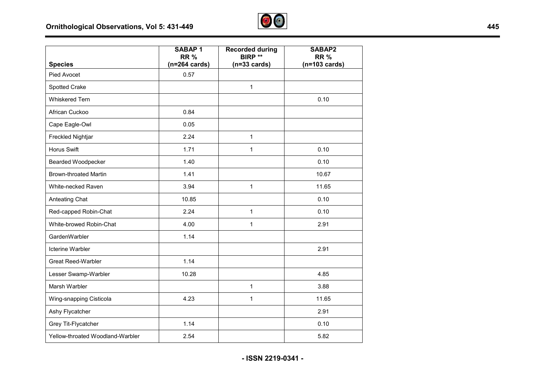

|                                  | <b>SABAP1</b><br><b>RR%</b> | <b>Recorded during</b><br><b>BIRP **</b> | <b>SABAP2</b><br><b>RR%</b> |
|----------------------------------|-----------------------------|------------------------------------------|-----------------------------|
| <b>Species</b>                   | $(n=264 \text{ cards})$     | $(n=33 \text{ cards})$                   | $(n=103 \text{ cards})$     |
| Pied Avocet                      | 0.57                        |                                          |                             |
| Spotted Crake                    |                             | $\mathbf{1}$                             |                             |
| <b>Whiskered Tern</b>            |                             |                                          | 0.10                        |
| African Cuckoo                   | 0.84                        |                                          |                             |
| Cape Eagle-Owl                   | 0.05                        |                                          |                             |
| Freckled Nightjar                | 2.24                        | $\mathbf{1}$                             |                             |
| <b>Horus Swift</b>               | 1.71                        | $\mathbf{1}$                             | 0.10                        |
| <b>Bearded Woodpecker</b>        | 1.40                        |                                          | 0.10                        |
| <b>Brown-throated Martin</b>     | 1.41                        |                                          | 10.67                       |
| White-necked Raven               | 3.94                        | $\mathbf{1}$                             | 11.65                       |
| Anteating Chat                   | 10.85                       |                                          | 0.10                        |
| Red-capped Robin-Chat            | 2.24                        | $\mathbf{1}$                             | 0.10                        |
| White-browed Robin-Chat          | 4.00                        | $\mathbf{1}$                             | 2.91                        |
| GardenWarbler                    | 1.14                        |                                          |                             |
| <b>Icterine Warbler</b>          |                             |                                          | 2.91                        |
| <b>Great Reed-Warbler</b>        | 1.14                        |                                          |                             |
| Lesser Swamp-Warbler             | 10.28                       |                                          | 4.85                        |
| Marsh Warbler                    |                             | $\mathbf{1}$                             | 3.88                        |
| Wing-snapping Cisticola          | 4.23                        | $\mathbf{1}$                             | 11.65                       |
| Ashy Flycatcher                  |                             |                                          | 2.91                        |
| Grey Tit-Flycatcher              | 1.14                        |                                          | 0.10                        |
| Yellow-throated Woodland-Warbler | 2.54                        |                                          | 5.82                        |

**- ISSN 2219-0341 -**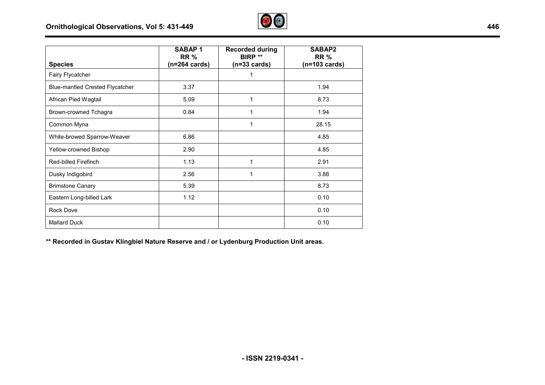

|                                        | <b>SABAP1</b><br><b>RR%</b> | <b>Recorded during</b><br>BIRP ** | SABAP2<br><b>RR%</b>    |
|----------------------------------------|-----------------------------|-----------------------------------|-------------------------|
| <b>Species</b>                         | $(n=264 \text{ cards})$     | $(n=33 \text{ cards})$            | $(n=103 \text{ cards})$ |
| Fairy Flycatcher                       |                             | 1                                 |                         |
| <b>Blue-mantled Crested Flycatcher</b> | 3.37                        |                                   | 1.94                    |
| African Pied Wagtail                   | 5.09                        | 1                                 | 8.73                    |
| Brown-crowned Tchagra                  | 0.84                        | 1                                 | 1.94                    |
| Common Myna                            |                             | 1                                 | 28.15                   |
| White-browed Sparrow-Weaver            | 6.86                        |                                   | 4.85                    |
| Yellow-crowned Bishop                  | 2.90                        |                                   | 4.85                    |
| <b>Red-billed Firefinch</b>            | 1.13                        | 1                                 | 2.91                    |
| Dusky Indigobird                       | 2.56                        | 1                                 | 3.88                    |
| <b>Brimstone Canary</b>                | 5.39                        |                                   | 8.73                    |
| Eastern Long-billed Lark               | 1.12                        |                                   | 0.10                    |
| <b>Rock Dove</b>                       |                             |                                   | 0.10                    |
| <b>Mallard Duck</b>                    |                             |                                   | 0.10                    |

**\*\* Recorded in Gustav Klingbiel Nature Reserve and / or Lydenburg Production Unit areas.**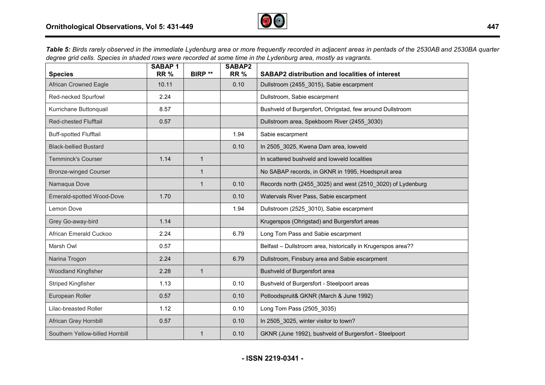

Table 5: Birds rarely observed in the immediate Lydenburg area or more frequently recorded in adjacent areas in pentads of the 2530AB and 2530BA quarter *degree grid cells. Species in shaded rows were recorded at some time in the Lydenburg area, mostly as vagrants.*

| <b>Species</b>                  | SABAP <sub>1</sub><br><b>RR%</b> | <b>BIRP**</b> | SABAP2<br><b>RR%</b> | <b>SABAP2 distribution and localities of interest</b>        |
|---------------------------------|----------------------------------|---------------|----------------------|--------------------------------------------------------------|
| <b>African Crowned Eagle</b>    | 10.11                            |               | 0.10                 | Dullstroom (2455_3015), Sabie escarpment                     |
| Red-necked Spurfowl             | 2.24                             |               |                      | Dullstroom, Sabie escarpment                                 |
| Kurrichane Buttonquail          | 8.57                             |               |                      | Bushveld of Burgersfort, Ohrigstad, few around Dullstroom    |
| <b>Red-chested Flufftail</b>    | 0.57                             |               |                      | Dullstroom area, Spekboom River (2455_3030)                  |
| <b>Buff-spotted Flufftail</b>   |                                  |               | 1.94                 | Sabie escarpment                                             |
| <b>Black-bellied Bustard</b>    |                                  |               | 0.10                 | In 2505_3025, Kwena Dam area, lowveld                        |
| <b>Temminck's Courser</b>       | 1.14                             | $\mathbf{1}$  |                      | In scattered bushveld and lowveld localities                 |
| <b>Bronze-winged Courser</b>    |                                  | $\mathbf 1$   |                      | No SABAP records, in GKNR in 1995, Hoedspruit area           |
| Namaqua Dove                    |                                  | $\mathbf{1}$  | 0.10                 | Records north (2455_3025) and west (2510_3020) of Lydenburg  |
| Emerald-spotted Wood-Dove       | 1.70                             |               | 0.10                 | Watervals River Pass, Sabie escarpment                       |
| Lemon Dove                      |                                  |               | 1.94                 | Dullstroom (2525_3010), Sabie escarpment                     |
| Grey Go-away-bird               | 1.14                             |               |                      | Krugerspos (Ohrigstad) and Burgersfort areas                 |
| African Emerald Cuckoo          | 2.24                             |               | 6.79                 | Long Tom Pass and Sabie escarpment                           |
| Marsh Owl                       | 0.57                             |               |                      | Belfast - Dullstroom area, historically in Krugerspos area?? |
| Narina Trogon                   | 2.24                             |               | 6.79                 | Dullstroom, Finsbury area and Sabie escarpment               |
| <b>Woodland Kingfisher</b>      | 2.28                             | $\mathbf{1}$  |                      | Bushveld of Burgersfort area                                 |
| Striped Kingfisher              | 1.13                             |               | 0.10                 | Bushveld of Burgersfort - Steelpoort areas                   |
| European Roller                 | 0.57                             |               | 0.10                 | Potloodspruit& GKNR (March & June 1992)                      |
| Lilac-breasted Roller           | 1.12                             |               | 0.10                 | Long Tom Pass (2505_3035)                                    |
| African Grey Hornbill           | 0.57                             |               | 0.10                 | In 2505 3025, winter visitor to town?                        |
| Southern Yellow-billed Hornbill |                                  |               | 0.10                 | GKNR (June 1992), bushveld of Burgersfort - Steelpoort       |

**- ISSN 2219-0341 -**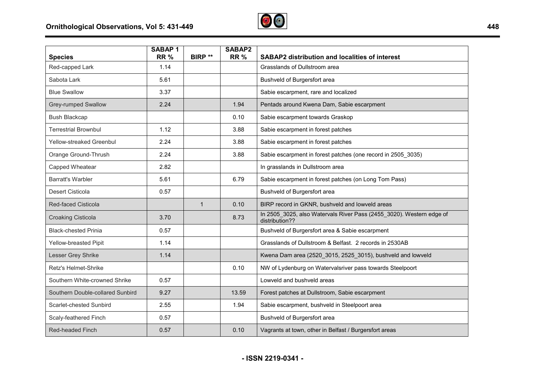

| <b>Species</b>                   | <b>SABAP1</b><br><b>RR%</b> | BIRP **      | SABAP2<br><b>RR%</b> | <b>SABAP2 distribution and localities of interest</b>                                  |
|----------------------------------|-----------------------------|--------------|----------------------|----------------------------------------------------------------------------------------|
| Red-capped Lark                  | 1.14                        |              |                      | Grasslands of Dullstroom area                                                          |
| Sabota Lark                      | 5.61                        |              |                      | Bushveld of Burgersfort area                                                           |
| <b>Blue Swallow</b>              | 3.37                        |              |                      | Sabie escarpment, rare and localized                                                   |
| Grey-rumped Swallow              | 2.24                        |              | 1.94                 | Pentads around Kwena Dam, Sabie escarpment                                             |
| <b>Bush Blackcap</b>             |                             |              | 0.10                 | Sabie escarpment towards Graskop                                                       |
| <b>Terrestrial Brownbul</b>      | 1.12                        |              | 3.88                 | Sabie escarpment in forest patches                                                     |
| Yellow-streaked Greenbul         | 2.24                        |              | 3.88                 | Sabie escarpment in forest patches                                                     |
| Orange Ground-Thrush             | 2.24                        |              | 3.88                 | Sabie escarpment in forest patches (one record in 2505 3035)                           |
| Capped Wheatear                  | 2.82                        |              |                      | In grasslands in Dullstroom area                                                       |
| <b>Barratt's Warbler</b>         | 5.61                        |              | 6.79                 | Sabie escarpment in forest patches (on Long Tom Pass)                                  |
| <b>Desert Cisticola</b>          | 0.57                        |              |                      | Bushveld of Burgersfort area                                                           |
| Red-faced Cisticola              |                             | $\mathbf{1}$ | 0.10                 | BIRP record in GKNR, bushveld and lowveld areas                                        |
| <b>Croaking Cisticola</b>        | 3.70                        |              | 8.73                 | In 2505_3025, also Watervals River Pass (2455_3020). Western edge of<br>distribution?? |
| <b>Black-chested Prinia</b>      | 0.57                        |              |                      | Bushveld of Burgersfort area & Sabie escarpment                                        |
| Yellow-breasted Pipit            | 1.14                        |              |                      | Grasslands of Dullstroom & Belfast. 2 records in 2530AB                                |
| Lesser Grey Shrike               | 1.14                        |              |                      | Kwena Dam area (2520_3015, 2525_3015), bushveld and lowveld                            |
| Retz's Helmet-Shrike             |                             |              | 0.10                 | NW of Lydenburg on Watervalsriver pass towards Steelpoort                              |
| Southern White-crowned Shrike    | 0.57                        |              |                      | Lowveld and bushveld areas                                                             |
| Southern Double-collared Sunbird | 9.27                        |              | 13.59                | Forest patches at Dullstroom, Sabie escarpment                                         |
| Scarlet-chested Sunbird          | 2.55                        |              | 1.94                 | Sabie escarpment, bushveld in Steelpoort area                                          |
| Scaly-feathered Finch            | 0.57                        |              |                      | Bushveld of Burgersfort area                                                           |
| Red-headed Finch                 | 0.57                        |              | 0.10                 | Vagrants at town, other in Belfast / Burgersfort areas                                 |